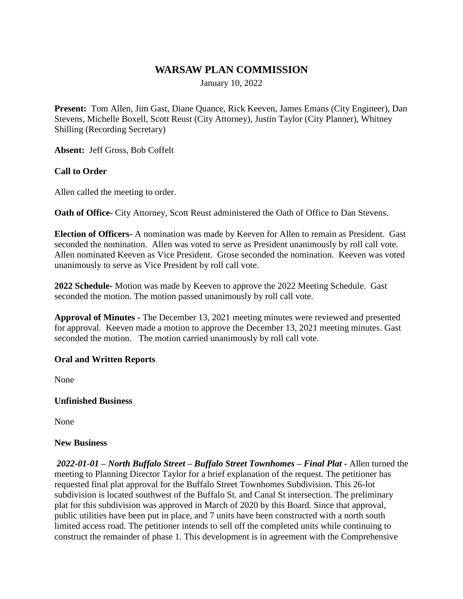# **WARSAW PLAN COMMISSION**

January 10, 2022

**Present:** Tom Allen, Jim Gast, Diane Quance, Rick Keeven, James Emans (City Engineer), Dan Stevens, Michelle Boxell, Scott Reust (City Attorney), Justin Taylor (City Planner), Whitney Shilling (Recording Secretary)

**Absent:** Jeff Gross, Bob Coffelt

## **Call to Order**

Allen called the meeting to order.

**Oath of Office-** City Attorney, Scott Reust administered the Oath of Office to Dan Stevens.

**Election of Officers-** A nomination was made by Keeven for Allen to remain as President. Gast seconded the nomination. Allen was voted to serve as President unanimously by roll call vote. Allen nominated Keeven as Vice President. Grose seconded the nomination. Keeven was voted unanimously to serve as Vice President by roll call vote.

**2022 Schedule-** Motion was made by Keeven to approve the 2022 Meeting Schedule. Gast seconded the motion. The motion passed unanimously by roll call vote.

**Approval of Minutes -** The December 13, 2021 meeting minutes were reviewed and presented for approval. Keeven made a motion to approve the December 13, 2021 meeting minutes. Gast seconded the motion. The motion carried unanimously by roll call vote.

## **Oral and Written Reports**

None

#### **Unfinished Business**

None

#### **New Business**

*2022-01-01 – North Buffalo Street – Buffalo Street Townhomes – Final Plat -* Allen turned the meeting to Planning Director Taylor for a brief explanation of the request. The petitioner has requested final plat approval for the Buffalo Street Townhomes Subdivision. This 26-lot subdivision is located southwest of the Buffalo St. and Canal St intersection. The preliminary plat for this subdivision was approved in March of 2020 by this Board. Since that approval, public utilities have been put in place, and 7 units have been constructed with a north south limited access road. The petitioner intends to sell off the completed units while continuing to construct the remainder of phase 1. This development is in agreement with the Comprehensive